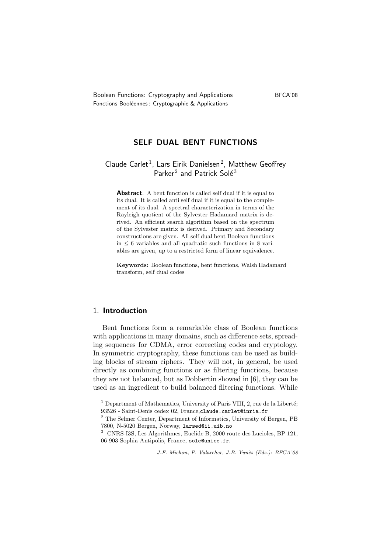# SELF DUAL BENT FUNCTIONS

# Claude Carlet<sup>1</sup>, Lars Eirik Danielsen<sup>2</sup>, Matthew Geoffrey Parker<sup>2</sup> and Patrick Solé<sup>3</sup>

Abstract. A bent function is called self dual if it is equal to its dual. It is called anti self dual if it is equal to the complement of its dual. A spectral characterization in terms of the Rayleigh quotient of the Sylvester Hadamard matrix is derived. An efficient search algorithm based on the spectrum of the Sylvester matrix is derived. Primary and Secondary constructions are given. All self dual bent Boolean functions in  $\leq 6$  variables and all quadratic such functions in 8 variables are given, up to a restricted form of linear equivalence.

Keywords: Boolean functions, bent functions, Walsh Hadamard transform, self dual codes

# 1. Introduction

Bent functions form a remarkable class of Boolean functions with applications in many domains, such as difference sets, spreading sequences for CDMA, error correcting codes and cryptology. In symmetric cryptography, these functions can be used as building blocks of stream ciphers. They will not, in general, be used directly as combining functions or as filtering functions, because they are not balanced, but as Dobbertin showed in [6], they can be used as an ingredient to build balanced filtering functions. While

 $<sup>1</sup>$  Department of Mathematics, University of Paris VIII, 2, rue de la Liberté;</sup> 93526 - Saint-Denis cedex 02, France,claude.carlet@inria.fr

<sup>2</sup> The Selmer Center, Department of Informatics, University of Bergen, PB 7800, N-5020 Bergen, Norway, larsed@ii.uib.no

<sup>3</sup> CNRS-I3S, Les Algorithmes, Euclide B, 2000 route des Lucioles, BP 121, 06 903 Sophia Antipolis, France, sole@unice.fr.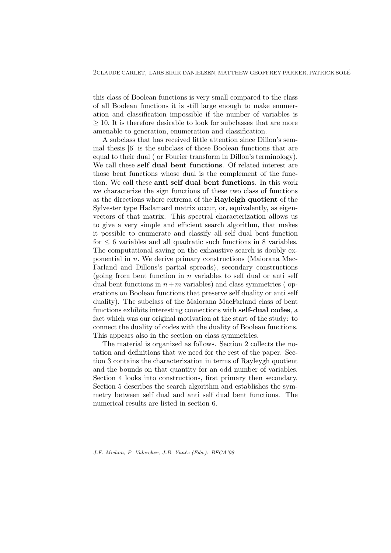this class of Boolean functions is very small compared to the class of all Boolean functions it is still large enough to make enumeration and classification impossible if the number of variables is ≥ 10. It is therefore desirable to look for subclasses that are more amenable to generation, enumeration and classification.

A subclass that has received little attention since Dillon's seminal thesis [6] is the subclass of those Boolean functions that are equal to their dual ( or Fourier transform in Dillon's terminology). We call these self dual bent functions. Of related interest are those bent functions whose dual is the complement of the function. We call these anti self dual bent functions. In this work we characterize the sign functions of these two class of functions as the directions where extrema of the Rayleigh quotient of the Sylvester type Hadamard matrix occur, or, equivalently, as eigenvectors of that matrix. This spectral characterization allows us to give a very simple and efficient search algorithm, that makes it possible to enumerate and classify all self dual bent function for  $\leq 6$  variables and all quadratic such functions in 8 variables. The computational saving on the exhaustive search is doubly exponential in n. We derive primary constructions (Maiorana Mac-Farland and Dillons's partial spreads), secondary constructions (going from bent function in *n* variables to self dual or anti self dual bent functions in  $n+m$  variables) and class symmetries (operations on Boolean functions that preserve self duality or anti self duality). The subclass of the Maiorana MacFarland class of bent functions exhibits interesting connections with self-dual codes, a fact which was our original motivation at the start of the study: to connect the duality of codes with the duality of Boolean functions. This appears also in the section on class symmetries.

The material is organized as follows. Section 2 collects the notation and definitions that we need for the rest of the paper. Section 3 contains the characterization in terms of Rayleygh quotient and the bounds on that quantity for an odd number of variables. Section 4 looks into constructions, first primary then secondary. Section 5 describes the search algorithm and establishes the symmetry between self dual and anti self dual bent functions. The numerical results are listed in section 6.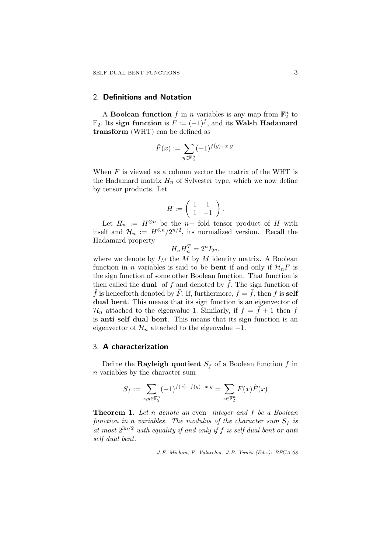## 2. Definitions and Notation

A **Boolean function** f in n variables is any map from  $\mathbb{F}_2^n$  to  $\mathbb{F}_2$ . Its sign function is  $F := (-1)^f$ , and its Walsh Hadamard transform (WHT) can be defined as

$$
\hat{F}(x) := \sum_{y \in \mathbb{F}_2^n} (-1)^{f(y) + x \cdot y}.
$$

When  $F$  is viewed as a column vector the matrix of the WHT is the Hadamard matrix  $H_n$  of Sylvester type, which we now define by tensor products. Let

$$
H:=\left(\begin{array}{cc} 1 & 1 \\ 1 & -1 \end{array}\right).
$$

Let  $H_n := H^{\otimes n}$  be the n- fold tensor product of H with itself and  $\mathcal{H}_n := H^{\otimes n}/2^{n/2}$ , its normalized version. Recall the Hadamard property

$$
H_n H_n^T = 2^n I_{2^n},
$$

where we denote by  $I_M$  the M by M identity matrix. A Boolean function in *n* variables is said to be **bent** if and only if  $\mathcal{H}_nF$  is the sign function of some other Boolean function. That function is then called the **dual** of f and denoted by  $\tilde{f}$ . The sign function of  $\tilde{f}$  is henceforth denoted by  $\tilde{F}$ . If, furthermore,  $f = \tilde{f}$ , then f is self dual bent. This means that its sign function is an eigenvector of  $\mathcal{H}_n$  attached to the eigenvalue 1. Similarly, if  $f = \tilde{f} + 1$  then f is anti self dual bent. This means that its sign function is an eigenvector of  $\mathcal{H}_n$  attached to the eigenvalue  $-1$ .

## 3. A characterization

Define the Rayleigh quotient  $S_f$  of a Boolean function f in n variables by the character sum

$$
S_f := \sum_{x,y \in \mathbb{F}_2^n} (-1)^{f(x) + f(y) + x \cdot y} = \sum_{x \in \mathbb{F}_2^n} F(x) \hat{F}(x)
$$

Theorem 1. Let n denote an even integer and f be a Boolean function in n variables. The modulus of the character sum  $S_f$  is at most  $2^{3n/2}$  with equality if and only if f is self dual bent or anti self dual bent.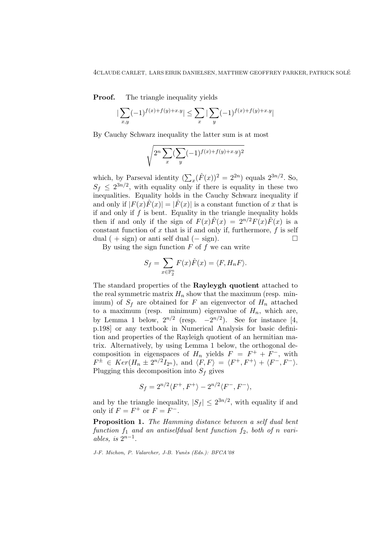**Proof.** The triangle inequality yields

$$
|\sum_{x,y} (-1)^{f(x)+f(y)+x.y}|\leq \sum_x |\sum_y (-1)^{f(x)+f(y)+x.y}|
$$

By Cauchy Schwarz inequality the latter sum is at most

$$
\sqrt{2^n \sum_{x} (\sum_{y} (-1)^{f(x)+f(y)+x.y})^2}
$$

which, by Parseval identity  $(\sum_{x}(\hat{F}(x))^{2} = 2^{2n})$  equals  $2^{3n/2}$ . So,  $S_f \leq 2^{3n/2}$ , with equality only if there is equality in these two inequalities. Equality holds in the Cauchy Schwarz inequality if and only if  $|F(x)\hat{F}(x)| = |\hat{F}(x)|$  is a constant function of x that is if and only if  $f$  is bent. Equality in the triangle inequality holds then if and only if the sign of  $F(x)\hat{F}(x) = 2^{n/2}F(x)\hat{F}(x)$  is a constant function of  $x$  that is if and only if, furthermore,  $f$  is self dual ( + sign) or anti self dual ( $-$  sign).  $\square$ 

By using the sign function  $F$  of  $f$  we can write

$$
S_f = \sum_{x \in \mathbb{F}_2^n} F(x)\hat{F}(x) = \langle F, H_n F \rangle.
$$

The standard properties of the Rayleygh quotient attached to the real symmetric matrix  $H_n$  show that the maximum (resp. minimum) of  $S_f$  are obtained for F an eigenvector of  $H_n$  attached to a maximum (resp. minimum) eigenvalue of  $H_n$ , which are, by Lemma 1 below,  $2^{n/2}$  (resp.  $-2^{n/2}$ ). See for instance [4, p.198] or any textbook in Numerical Analysis for basic definition and properties of the Rayleigh quotient of an hermitian matrix. Alternatively, by using Lemma 1 below, the orthogonal decomposition in eigenspaces of  $H_n$  yields  $F = F^+ + F^-$ , with  $F^{\pm} \in Ker(H_n \pm 2^{n/2}I_{2^n}), \text{ and } \langle F, F \rangle = \langle F^+, F^+ \rangle + \langle F^-, F^- \rangle.$ Plugging this decomposition into  $S_f$  gives

$$
S_f = 2^{n/2} \langle F^+, F^+ \rangle - 2^{n/2} \langle F^-, F^- \rangle,
$$

and by the triangle inequality,  $|S_f| \leq 2^{3n/2}$ , with equality if and only if  $F = F^+$  or  $F = F^-$ .

Proposition 1. The Hamming distance between a self dual bent function  $f_1$  and an antiselfdual bent function  $f_2$ , both of n variables, is  $2^{n-1}$ .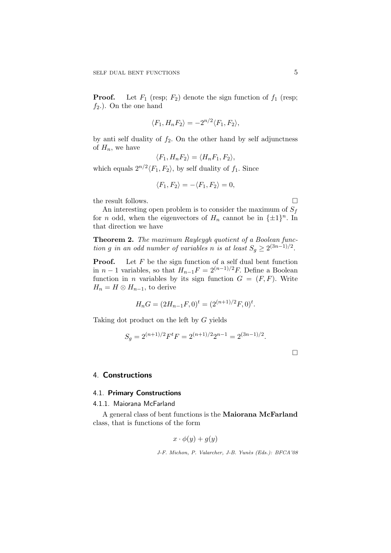**Proof.** Let  $F_1$  (resp;  $F_2$ ) denote the sign function of  $f_1$  (resp;  $f_2$ .). On the one hand

$$
\langle F_1, H_n F_2 \rangle = -2^{n/2} \langle F_1, F_2 \rangle,
$$

by anti self duality of  $f_2$ . On the other hand by self adjunctness of  $H_n$ , we have

$$
\langle F_1, H_n F_2 \rangle = \langle H_n F_1, F_2 \rangle,
$$

which equals  $2^{n/2}\langle F_1, F_2 \rangle$ , by self duality of  $f_1$ . Since

$$
\langle F_1, F_2 \rangle = -\langle F_1, F_2 \rangle = 0,
$$

the result follows.  $\Box$ 

An interesting open problem is to consider the maximum of  $S_f$ for *n* odd, when the eigenvectors of  $H_n$  cannot be in  $\{\pm 1\}^n$ . In that direction we have

Theorem 2. The maximum Rayleygh quotient of a Boolean function g in an odd number of variables n is at least  $S_g \geq 2^{(3n-1)/2}$ .

**Proof.** Let  $F$  be the sign function of a self dual bent function in  $n-1$  variables, so that  $H_{n-1}F = 2^{(n-1)/2}F$ . Define a Boolean function in *n* variables by its sign function  $G = (F, F)$ . Write  $H_n = H \otimes H_{n-1}$ , to derive

$$
H_nG = (2H_{n-1}F, 0)^t = (2^{(n+1)/2}F, 0)^t.
$$

Taking dot product on the left by G yields

$$
S_g = 2^{(n+1)/2} F^t F = 2^{(n+1)/2} 2^{n-1} = 2^{(3n-1)/2}.
$$

 $\Box$ 

## 4. Constructions

# 4.1. Primary Constructions

#### 4.1.1. Maiorana McFarland

A general class of bent functions is the Maiorana McFarland class, that is functions of the form

$$
x \cdot \phi(y) + g(y)
$$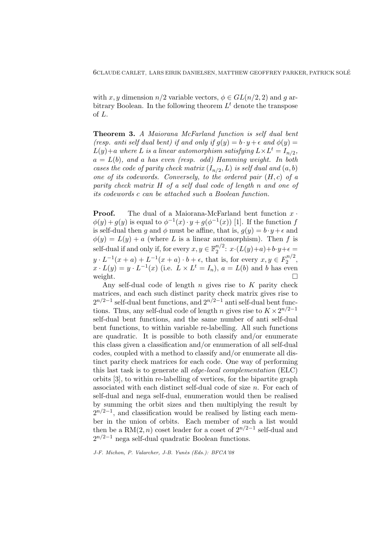with x, y dimension  $n/2$  variable vectors,  $\phi \in GL(n/2, 2)$  and q arbitrary Boolean. In the following theorem  $L<sup>t</sup>$  denote the transpose of L.

Theorem 3. A Maiorana McFarland function is self dual bent (resp. anti self dual bent) if and only if  $g(y) = b \cdot y + \epsilon$  and  $\phi(y) =$  $L(y)+a$  where L is a linear automorphism satisfying  $L\times L^t=I_{n/2}$ ,  $a = L(b)$ , and a has even (resp. odd) Hamming weight. In both cases the code of parity check matrix  $(I_{n/2}, L)$  is self dual and  $(a, b)$ one of its codewords. Conversely, to the ordered pair  $(H, c)$  of a parity check matrix H of a self dual code of length n and one of its codewords c can be attached such a Boolean function.

**Proof.** The dual of a Maiorana-McFarland bent function  $x \cdot$  $\phi(y) + g(y)$  is equal to  $\phi^{-1}(x) \cdot y + g(\phi^{-1}(x))$  [1]. If the function f is self-dual then g and  $\phi$  must be affine, that is,  $g(y) = b \cdot y + \epsilon$  and  $\phi(y) = L(y) + a$  (where L is a linear automorphism). Then f is self-dual if and only if, for every  $x, y \in \mathbb{F}_2^{n/2}$  $x^2$ :  $x \cdot (L(y)+a)+b \cdot y+\epsilon =$  $y \cdot L^{-1}(x+a) + L^{-1}(x+a) \cdot b + \epsilon$ , that is, for every  $x, y \in F_2^{n/2}$  $\frac{2^{n/2}}{2}$  $x \cdot L(y) = y \cdot L^{-1}(x)$  (i.e.  $L \times L^t = I_n$ ),  $a = L(b)$  and b has even weight.  $\Box$ 

Any self-dual code of length  $n$  gives rise to  $K$  parity check matrices, and each such distinct parity check matrix gives rise to  $2^{n/2-1}$  self-dual bent functions, and  $2^{n/2-1}$  anti self-dual bent functions. Thus, any self-dual code of length n gives rise to  $K \times 2^{n/2-1}$ self-dual bent functions, and the same number of anti self-dual bent functions, to within variable re-labelling. All such functions are quadratic. It is possible to both classify and/or enumerate this class given a classification and/or enumeration of all self-dual codes, coupled with a method to classify and/or enumerate all distinct parity check matrices for each code. One way of performing this last task is to generate all edge-local complementation (ELC) orbits [3], to within re-labelling of vertices, for the bipartite graph associated with each distinct self-dual code of size n. For each of self-dual and nega self-dual, enumeration would then be realised by summing the orbit sizes and then multiplying the result by  $2^{n/2-1}$ , and classification would be realised by listing each member in the union of orbits. Each member of such a list would then be a RM(2, n) coset leader for a coset of  $2^{n/2-1}$  self-dual and  $2^{n/2-1}$  nega self-dual quadratic Boolean functions.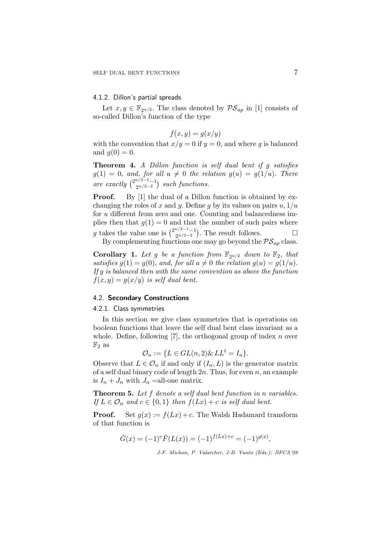## 4.1.2. Dillon's partial spreads

Let  $x, y \in \mathbb{F}_{2^{n/2}}$ . The class denoted by  $\mathcal{PS}_{ap}$  in [1] consists of so-called Dillon's function of the type

$$
f(x, y) = g(x/y)
$$

with the convention that  $x/y = 0$  if  $y = 0$ , and where g is balanced and  $q(0) = 0$ .

Theorem 4. A Dillon function is self dual bent if g satisfies  $g(1) = 0$ , and, for all  $u \neq 0$  the relation  $g(u) = g(1/u)$ . There are exactly  $\binom{2^{n/2-1}-1}{2^{n/2-2}}$  $\binom{n/2-1}{2n/2-2}$  such functions.

**Proof.** By [1] the dual of a Dillon function is obtained by exchanging the roles of x and y. Define g by its values on pairs  $u$ ,  $1/u$ for u different from zero and one. Counting and balancedness implies then that  $g(1) = 0$  and that the number of such pairs where g takes the value one is  $\binom{2^{n/2-1}-1}{2^{n/2-2}}$  $\mathbb{Z}_{2^{n/2-2}}^{n/2-1-1}$ . The result follows.

By complementing functions one may go beyond the  $PS_{an}$  class.

**Corollary 1.** Let g be a function from  $\mathbb{F}_{2^{n/2}}$  down to  $\mathbb{F}_2$ , that satisfies  $g(1) = g(0)$ , and, for all  $u \neq 0$  the relation  $g(u) = g(1/u)$ . If  $g$  is balanced then with the same convention as above the function  $f(x, y) = g(x/y)$  is self dual bent.

#### 4.2. Secondary Constructions

#### 4.2.1. Class symmetries

In this section we give class symmetries that is operations on boolean functions that leave the self dual bent class invariant as a whole. Define, following  $[7]$ , the orthogonal group of index n over  $\mathbb{F}_2$  as

$$
\mathcal{O}_n := \{ L \in GL(n, 2) \& LL^t = I_n \}.
$$

Observe that  $L \in \mathcal{O}_n$  if and only if  $(I_n, L)$  is the generator matrix of a self dual binary code of length  $2n$ . Thus, for even n, an example is  $I_n + J_n$  with  $J_n$  = all-one matrix.

Theorem 5. Let f denote a self dual bent function in n variables. If  $L \in \mathcal{O}_n$  and  $c \in \{0,1\}$  then  $f(Lx) + c$  is self dual bent.

**Proof.** Set  $g(x) := f(Lx) + c$ . The Walsh Hadamard transform of that function is

$$
\hat{G}(x) = (-1)^{c} \hat{F}(L(x)) = (-1)^{f(Lx) + c} = (-1)^{g(x)},
$$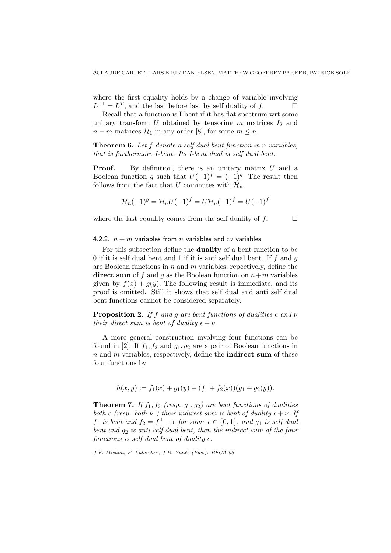where the first equality holds by a change of variable involving  $L^{-1} = L^T$ , and the last before last by self duality of f.

Recall that a function is I-bent if it has flat spectrum wrt some unitary transform U obtained by tensoring m matrices  $I_2$  and  $n - m$  matrices  $\mathcal{H}_1$  in any order [8], for some  $m \leq n$ .

Theorem 6. Let f denote a self dual bent function in n variables, that is furthermore I-bent. Its I-bent dual is self dual bent.

**Proof.** By definition, there is an unitary matrix  $U$  and a Boolean function g such that  $U(-1)^f = (-1)^g$ . The result then follows from the fact that U commutes with  $\mathcal{H}_n$ .

$$
\mathcal{H}_n(-1)^g = \mathcal{H}_n U(-1)^f = U \mathcal{H}_n(-1)^f = U(-1)^f
$$

where the last equality comes from the self duality of  $f$ .

#### 4.2.2.  $n + m$  variables from n variables and m variables

For this subsection define the duality of a bent function to be 0 if it is self dual bent and 1 if it is anti self dual bent. If  $f$  and  $g$ are Boolean functions in  $n$  and  $m$  variables, repectively, define the direct sum of f and g as the Boolean function on  $n+m$  variables given by  $f(x) + g(y)$ . The following result is immediate, and its proof is omitted. Still it shows that self dual and anti self dual bent functions cannot be considered separately.

**Proposition 2.** If f and g are bent functions of dualities  $\epsilon$  and  $\nu$ their direct sum is bent of duality  $\epsilon + \nu$ .

A more general construction involving four functions can be found in [2]. If  $f_1, f_2$  and  $g_1, g_2$  are a pair of Boolean functions in  $n$  and  $m$  variables, respectively, define the **indirect sum** of these four functions by

$$
h(x,y) := f_1(x) + g_1(y) + (f_1 + f_2(x))(g_1 + g_2(y)).
$$

**Theorem 7.** If  $f_1, f_2$  (resp.  $g_1, g_2$ ) are bent functions of dualities both  $\epsilon$  (resp. both  $\nu$ ) their indirect sum is bent of duality  $\epsilon + \nu$ . If  $f_1$  is bent and  $f_2 = f_1^{\perp} + \epsilon$  for some  $\epsilon \in \{0, 1\}$ , and  $g_1$  is self dual bent and  $g_2$  is anti self dual bent, then the indirect sum of the four functions is self dual bent of duality  $\epsilon$ .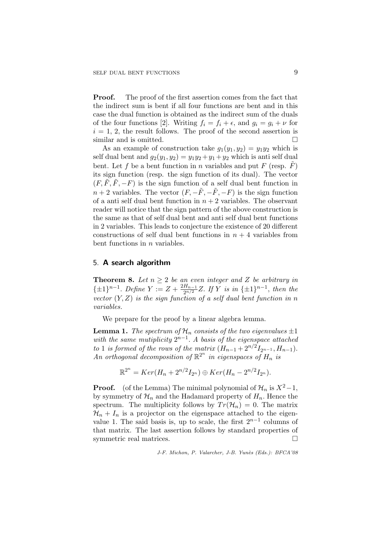Proof. The proof of the first assertion comes from the fact that the indirect sum is bent if all four functions are bent and in this case the dual function is obtained as the indirect sum of the duals of the four functions [2]. Writing  $f_i = f_i + \epsilon$ , and  $g_i = g_i + \nu$  for  $i = 1, 2$ , the result follows. The proof of the second assertion is similar and is omitted.

As an example of construction take  $g_1(y_1, y_2) = y_1 y_2$  which is self dual bent and  $g_2(y_1, y_2) = y_1y_2 + y_1 + y_2$  which is anti self dual bent. Let f be a bent function in n variables and put F (resp.  $\overline{F}$ ) its sign function (resp. the sign function of its dual). The vector  $(F, \tilde{F}, \tilde{F}, -F)$  is the sign function of a self dual bent function in  $n + 2$  variables. The vector  $(F, -\tilde{F}, -\tilde{F}, -F)$  is the sign function of a anti self dual bent function in  $n + 2$  variables. The observant reader will notice that the sign pattern of the above construction is the same as that of self dual bent and anti self dual bent functions in 2 variables. This leads to conjecture the existence of 20 different constructions of self dual bent functions in  $n + 4$  variables from bent functions in  $n$  variables.

## 5. A search algorithm

**Theorem 8.** Let  $n \geq 2$  be an even integer and Z be arbitrary in  $\{\pm 1\}^{n-1}$ . Define  $Y := Z + \frac{2H_{n-1}}{2n/2}$  $\frac{H_{n-1}}{2^{n/2}}Z$ . If Y is in  $\{\pm 1\}^{n-1}$ , then the vector  $(Y, Z)$  is the sign function of a self dual bent function in n variables.

We prepare for the proof by a linear algebra lemma.

**Lemma 1.** The spectrum of  $\mathcal{H}_n$  consists of the two eigenvalues  $\pm 1$ with the same mutiplicity  $2^{n-1}$ . A basis of the eigenspace attached to 1 is formed of the rows of the matrix  $(H_{n-1} + 2^{n/2}I_{2^{n-1}}, H_{n-1}).$ An orthogonal decomposition of  $\mathbb{R}^{2^n}$  in eigenspaces of  $H_n$  is

$$
\mathbb{R}^{2^n} = Ker(H_n + 2^{n/2}I_{2^n}) \oplus Ker(H_n - 2^{n/2}I_{2^n}).
$$

**Proof.** (of the Lemma) The minimal polynomial of  $\mathcal{H}_n$  is  $X^2-1$ , by symmetry of  $\mathcal{H}_n$  and the Hadamard property of  $H_n$ . Hence the spectrum. The multiplicity follows by  $Tr(\mathcal{H}_n) = 0$ . The matrix  $\mathcal{H}_n + I_n$  is a projector on the eigenspace attached to the eigenvalue 1. The said basis is, up to scale, the first  $2^{n-1}$  columns of that matrix. The last assertion follows by standard properties of symmetric real matrices.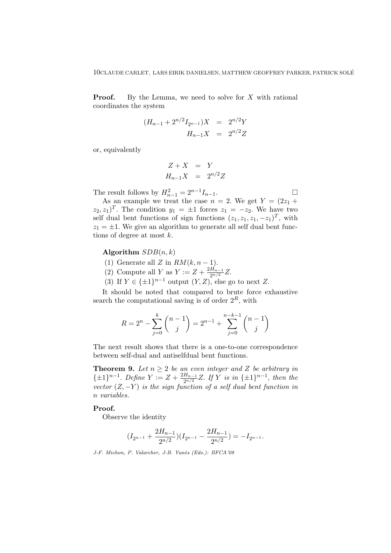**Proof.** By the Lemma, we need to solve for  $X$  with rational coordinates the system

$$
(H_{n-1} + 2^{n/2} I_{2^{n-1}})X = 2^{n/2} Y
$$
  

$$
H_{n-1} X = 2^{n/2} Z
$$

or, equivalently

$$
Z + X = Y
$$
  

$$
H_{n-1}X = 2^{n/2}Z
$$

The result follows by  $H_{n-1}^2 = 2^{n-1} I_{n-1}$ .

As an example we treat the case  $n = 2$ . We get  $Y = (2z_1 +$  $(z_2, z_1)^T$ . The condition  $y_1 = \pm 1$  forces  $z_1 = -z_2$ . We have two self dual bent functions of sign functions  $(z_1, z_1, z_1, -z_1)^T$ , with  $z_1 = \pm 1$ . We give an algorithm to generate all self dual bent functions of degree at most  $k$ .

#### Algorithm  $SDB(n, k)$

- (1) Generate all Z in  $RM(k, n-1)$ .
- (2) Compute all Y as  $Y := Z + \frac{2H_{n-1}}{2n/2}$  $\frac{H_{n-1}}{2^{n/2}}Z.$
- (3) If  $Y \in {\{\pm 1\}}^{n-1}$  output  $(Y, Z)$ , else go to next Z.

It should be noted that compared to brute force exhaustive search the computational saving is of order  $2^R$ , with

$$
R = 2^{n} - \sum_{j=0}^{k} {n-1 \choose j} = 2^{n-1} + \sum_{j=0}^{n-k-1} {n-1 \choose j}
$$

The next result shows that there is a one-to-one correspondence between self-dual and antiselfdual bent functions.

**Theorem 9.** Let  $n \geq 2$  be an even integer and Z be arbitrary in  $\{\pm 1\}^{n-1}$ . Define  $Y := Z + \frac{2H_{n-1}}{2n/2}$  $\frac{H_{n-1}}{2^{n/2}}Z$ . If Y is in  $\{\pm 1\}^{n-1}$ , then the vector  $(Z, -Y)$  is the sign function of a self dual bent function in n variables.

#### Proof.

Observe the identity

$$
(I_{2^{n-1}} + \frac{2H_{n-1}}{2^{n/2}})(I_{2^{n-1}} - \frac{2H_{n-1}}{2^{n/2}}) = -I_{2^{n-1}}.
$$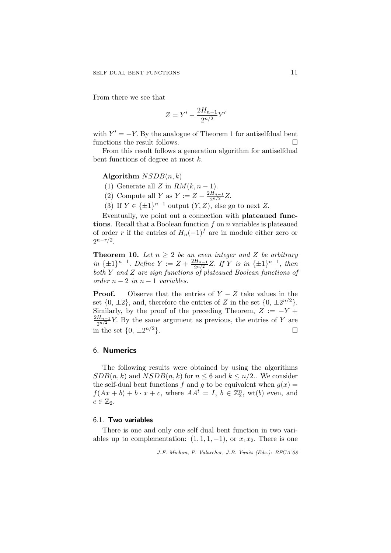From there we see that

$$
Z = Y' - \frac{2H_{n-1}}{2^{n/2}}Y'
$$

with  $Y' = -Y$ . By the analogue of Theorem 1 for antiselfdual bent functions the result follows.  $\hfill \square$ 

From this result follows a generation algorithm for antiselfdual bent functions of degree at most k.

#### Algorithm  $NSDB(n, k)$

- (1) Generate all Z in  $RM(k, n-1)$ .
- (2) Compute all Y as  $Y := Z \frac{2H_{n-1}}{2n/2}$  $\frac{H_{n-1}}{2^{n/2}}Z.$

(3) If  $Y \in {\{\pm 1\}}^{n-1}$  output  $(Y, Z)$ , else go to next Z.

Eventually, we point out a connection with plateaued functions. Recall that a Boolean function  $f$  on  $n$  variables is plateaued of order r if the entries of  $H_n(-1)^f$  are in module either zero or  $2^{n-r/2}$ .

**Theorem 10.** Let  $n \geq 2$  be an even integer and Z be arbitrary in  $\{\pm 1\}^{n-1}$ . Define  $Y := Z + \frac{2H_{n-1}}{2n/2}$  $\frac{H_{n-1}}{2^{n/2}}Z$ . If Y is in  $\{\pm 1\}^{n-1}$ , then both Y and Z are sign functions of plateaued Boolean functions of order  $n-2$  in  $n-1$  variables.

**Proof.** Observe that the entries of  $Y - Z$  take values in the set  $\{0, \pm 2\}$ , and, therefore the entries of Z in the set  $\{0, \pm 2^{n/2}\}$ . Similarly, by the proof of the preceding Theorem,  $Z := -Y +$  $2H_{n-1}$  $\frac{H_{n-1}}{2^{n/2}}Y$ . By the same argument as previous, the entries of Y are in the set  $\{0, \pm 2^{n/2}\}.$  $n/2$ .

## 6. Numerics

The following results were obtained by using the algorithms  $SDB(n, k)$  and  $NSDB(n, k)$  for  $n \leq 6$  and  $k \leq n/2$ . We consider the self-dual bent functions f and g to be equivalent when  $g(x) =$  $f(Ax + b) + b \cdot x + c$ , where  $AA^t = I$ ,  $b \in \mathbb{Z}_2^n$ , wt $(b)$  even, and  $c \in \mathbb{Z}_2$ .

#### 6.1. Two variables

There is one and only one self dual bent function in two variables up to complementation:  $(1, 1, 1, -1)$ , or  $x_1x_2$ . There is one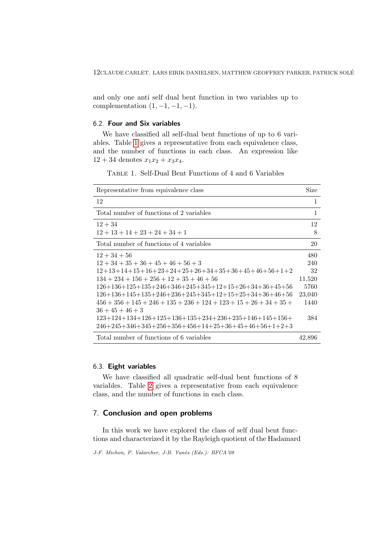and only one anti self dual bent function in two variables up to complementation  $(1, -1, -1, -1)$ .

## 6.2. Four and Six variables

We have classified all self-dual bent functions of up to 6 variables. Table [1](#page-11-0) gives a representative from each equivalence class, and the number of functions in each class. An expression like  $12 + 34$  denotes  $x_1x_2 + x_3x_4$ .

<span id="page-11-0"></span>Table 1. Self-Dual Bent Functions of 4 and 6 Variables

| Representative from equivalence class                                 | Size   |
|-----------------------------------------------------------------------|--------|
| 12                                                                    | 1      |
| Total number of functions of 2 variables                              | 1      |
| $12 + 34$                                                             | 12     |
| $12+13+14+23+24+34+1$                                                 | 8      |
| Total number of functions of 4 variables                              | 20     |
| $12 + 34 + 56$                                                        | 480    |
| $12+34+35+36+45+46+56+3$                                              | 240    |
| $12+13+14+15+16+23+24+25+26+34+35+36+45+46+56+1+2$                    | 32     |
| $134 + 234 + 156 + 256 + 12 + 35 + 46 + 56$                           | 11,520 |
| $126+136+125+135+246+346+245+345+12+15+26+34+36+45+56$                | 5760   |
| $126+136+145+135+246+236+245+345+12+15+25+34+36+46+56$                | 23,040 |
| $456 + 356 + 145 + 246 + 135 + 236 + 124 + 123 + 15 + 26 + 34 + 35 +$ | 1440   |
| $36 + 45 + 46 + 3$                                                    |        |
| $123+124+134+126+125+136+135+234+236+235+146+145+156+$                | 384    |
| $246+245+346+345+256+356+456+14+25+36+45+46+56+1+2+3$                 |        |
| Total number of functions of 6 variables                              | 42,896 |

## 6.3. Eight variables

We have classified all quadratic self-dual bent functions of 8 variables. Table [2](#page-12-0) gives a representative from each equivalence class, and the number of functions in each class.

## 7. Conclusion and open problems

In this work we have explored the class of self dual bent functions and characterized it by the Rayleigh quotient of the Hadamard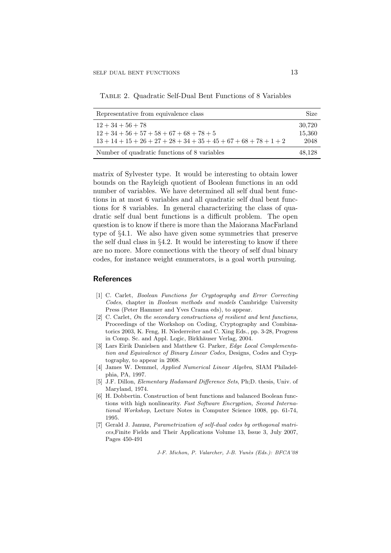<span id="page-12-0"></span>Table 2. Quadratic Self-Dual Bent Functions of 8 Variables

| Representative from equivalence class                                                     | Size                     |
|-------------------------------------------------------------------------------------------|--------------------------|
| $12+34+56+78$<br>$12+34+56+57+58+67+68+78+5$<br>$13+14+15+26+27+28+34+35+45+67+68+78+1+2$ | 30,720<br>15,360<br>2048 |
| Number of quadratic functions of 8 variables                                              | 48.128                   |

matrix of Sylvester type. It would be interesting to obtain lower bounds on the Rayleigh quotient of Boolean functions in an odd number of variables. We have determined all self dual bent functions in at most 6 variables and all quadratic self dual bent functions for 8 variables. In general characterizing the class of quadratic self dual bent functions is a difficult problem. The open question is to know if there is more than the Maiorana MacFarland type of §4.1. We also have given some symmetries that preserve the self dual class in §4.2. It would be interesting to know if there are no more. More connections with the theory of self dual binary codes, for instance weight enumerators, is a goal worth pursuing.

#### References

- [1] C. Carlet, Boolean Functions for Cryptography and Error Correcting Codes, chapter in Boolean methods and models Cambridge University Press (Peter Hammer and Yves Crama eds), to appear.
- [2] C. Carlet, On the secondary constructions of resilient and bent functions, Proceedings of the Workshop on Coding, Cryptography and Combinatorics 2003, K. Feng, H. Niederreiter and C. Xing Eds., pp. 3-28, Progress in Comp. Sc. and Appl. Logic, Birkhäuser Verlag, 2004.
- [3] Lars Eirik Danielsen and Matthew G. Parker, Edge Local Complementation and Equivalence of Binary Linear Codes, Designs, Codes and Cryptography, to appear in 2008.
- [4] James W. Demmel, Applied Numerical Linear Algebra, SIAM Philadelphia, PA, 1997.
- [5] J.F. Dillon, Elementary Hadamard Difference Sets, Ph;D. thesis, Univ. of Maryland, 1974.
- [6] H. Dobbertin. Construction of bent functions and balanced Boolean functions with high nonlinearity. Fast Software Encryption, Second International Workshop, Lecture Notes in Computer Science 1008, pp. 61-74, 1995.
- [7] Gerald J. Janusz, Parametrization of self-dual codes by orthogonal matrices,Finite Fields and Their Applications Volume 13, Issue 3, July 2007, Pages 450-491